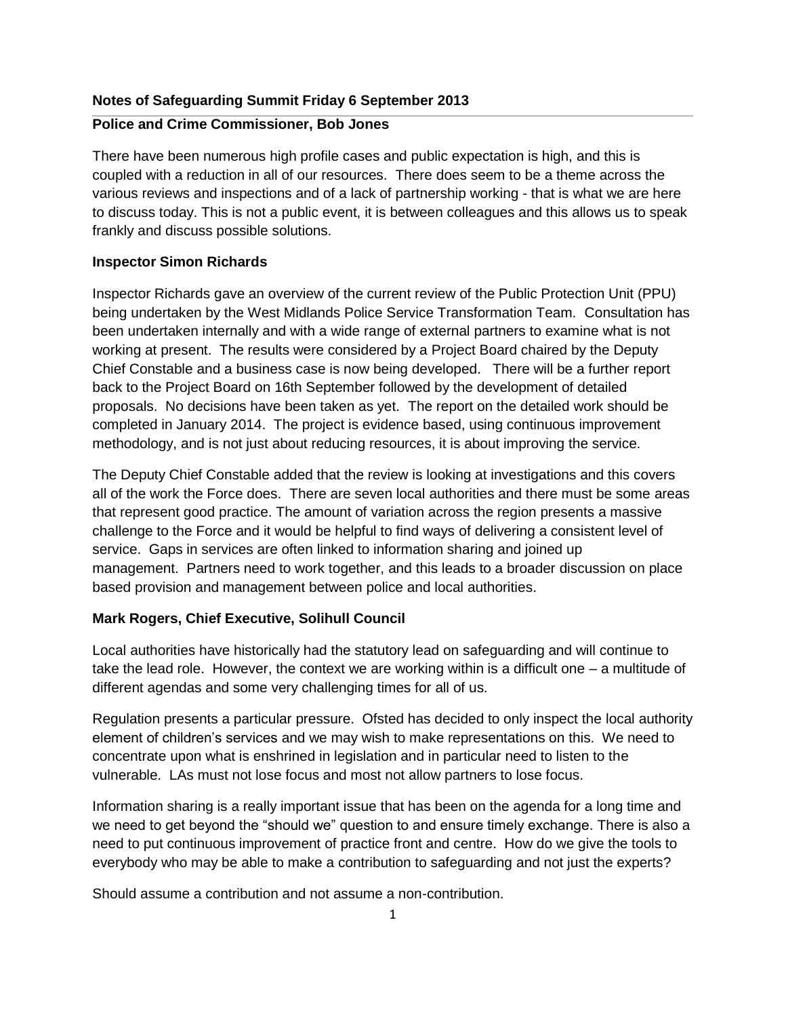### **Notes of Safeguarding Summit Friday 6 September 2013**

### **Police and Crime Commissioner, Bob Jones**

There have been numerous high profile cases and public expectation is high, and this is coupled with a reduction in all of our resources. There does seem to be a theme across the various reviews and inspections and of a lack of partnership working - that is what we are here to discuss today. This is not a public event, it is between colleagues and this allows us to speak frankly and discuss possible solutions.

### **Inspector Simon Richards**

Inspector Richards gave an overview of the current review of the Public Protection Unit (PPU) being undertaken by the West Midlands Police Service Transformation Team. Consultation has been undertaken internally and with a wide range of external partners to examine what is not working at present. The results were considered by a Project Board chaired by the Deputy Chief Constable and a business case is now being developed. There will be a further report back to the Project Board on 16th September followed by the development of detailed proposals. No decisions have been taken as yet. The report on the detailed work should be completed in January 2014. The project is evidence based, using continuous improvement methodology, and is not just about reducing resources, it is about improving the service.

The Deputy Chief Constable added that the review is looking at investigations and this covers all of the work the Force does. There are seven local authorities and there must be some areas that represent good practice. The amount of variation across the region presents a massive challenge to the Force and it would be helpful to find ways of delivering a consistent level of service. Gaps in services are often linked to information sharing and joined up management. Partners need to work together, and this leads to a broader discussion on place based provision and management between police and local authorities.

## **Mark Rogers, Chief Executive, Solihull Council**

Local authorities have historically had the statutory lead on safeguarding and will continue to take the lead role. However, the context we are working within is a difficult one – a multitude of different agendas and some very challenging times for all of us.

Regulation presents a particular pressure. Ofsted has decided to only inspect the local authority element of children's services and we may wish to make representations on this. We need to concentrate upon what is enshrined in legislation and in particular need to listen to the vulnerable. LAs must not lose focus and most not allow partners to lose focus.

Information sharing is a really important issue that has been on the agenda for a long time and we need to get beyond the "should we" question to and ensure timely exchange. There is also a need to put continuous improvement of practice front and centre. How do we give the tools to everybody who may be able to make a contribution to safeguarding and not just the experts?

Should assume a contribution and not assume a non-contribution.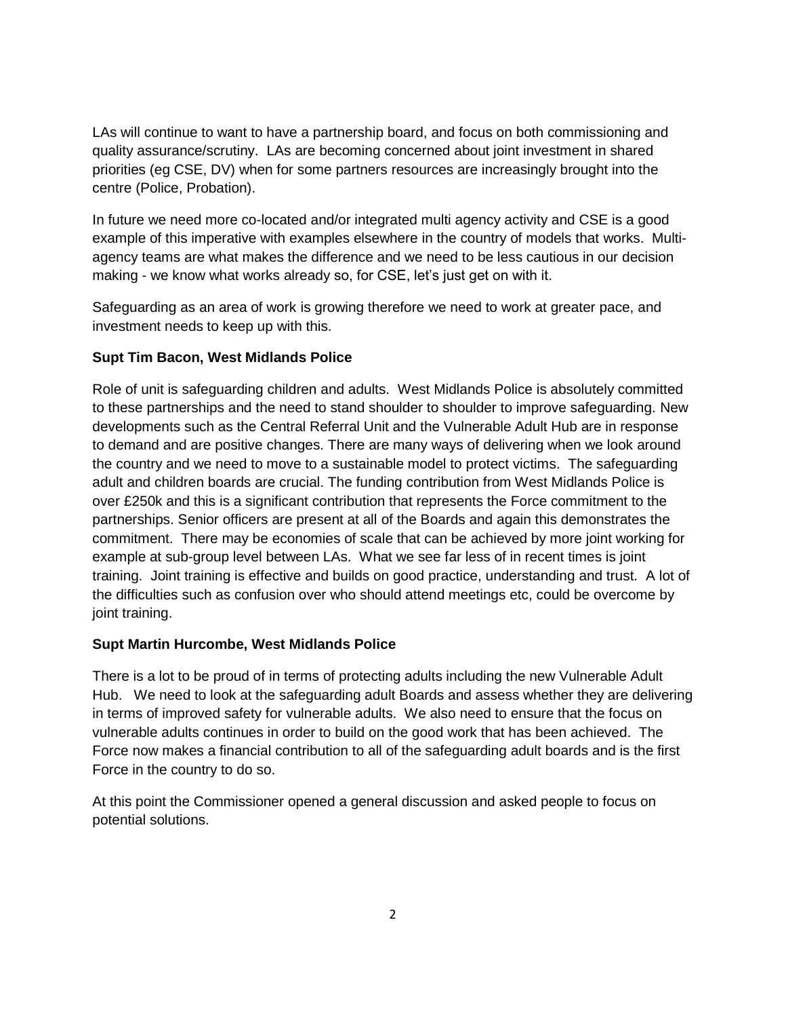LAs will continue to want to have a partnership board, and focus on both commissioning and quality assurance/scrutiny. LAs are becoming concerned about joint investment in shared priorities (eg CSE, DV) when for some partners resources are increasingly brought into the centre (Police, Probation).

In future we need more co-located and/or integrated multi agency activity and CSE is a good example of this imperative with examples elsewhere in the country of models that works. Multiagency teams are what makes the difference and we need to be less cautious in our decision making - we know what works already so, for CSE, let's just get on with it.

Safeguarding as an area of work is growing therefore we need to work at greater pace, and investment needs to keep up with this.

# **Supt Tim Bacon, West Midlands Police**

Role of unit is safeguarding children and adults. West Midlands Police is absolutely committed to these partnerships and the need to stand shoulder to shoulder to improve safeguarding. New developments such as the Central Referral Unit and the Vulnerable Adult Hub are in response to demand and are positive changes. There are many ways of delivering when we look around the country and we need to move to a sustainable model to protect victims. The safeguarding adult and children boards are crucial. The funding contribution from West Midlands Police is over £250k and this is a significant contribution that represents the Force commitment to the partnerships. Senior officers are present at all of the Boards and again this demonstrates the commitment. There may be economies of scale that can be achieved by more joint working for example at sub-group level between LAs. What we see far less of in recent times is joint training. Joint training is effective and builds on good practice, understanding and trust. A lot of the difficulties such as confusion over who should attend meetings etc, could be overcome by joint training.

## **Supt Martin Hurcombe, West Midlands Police**

There is a lot to be proud of in terms of protecting adults including the new Vulnerable Adult Hub. We need to look at the safeguarding adult Boards and assess whether they are delivering in terms of improved safety for vulnerable adults. We also need to ensure that the focus on vulnerable adults continues in order to build on the good work that has been achieved. The Force now makes a financial contribution to all of the safeguarding adult boards and is the first Force in the country to do so.

At this point the Commissioner opened a general discussion and asked people to focus on potential solutions.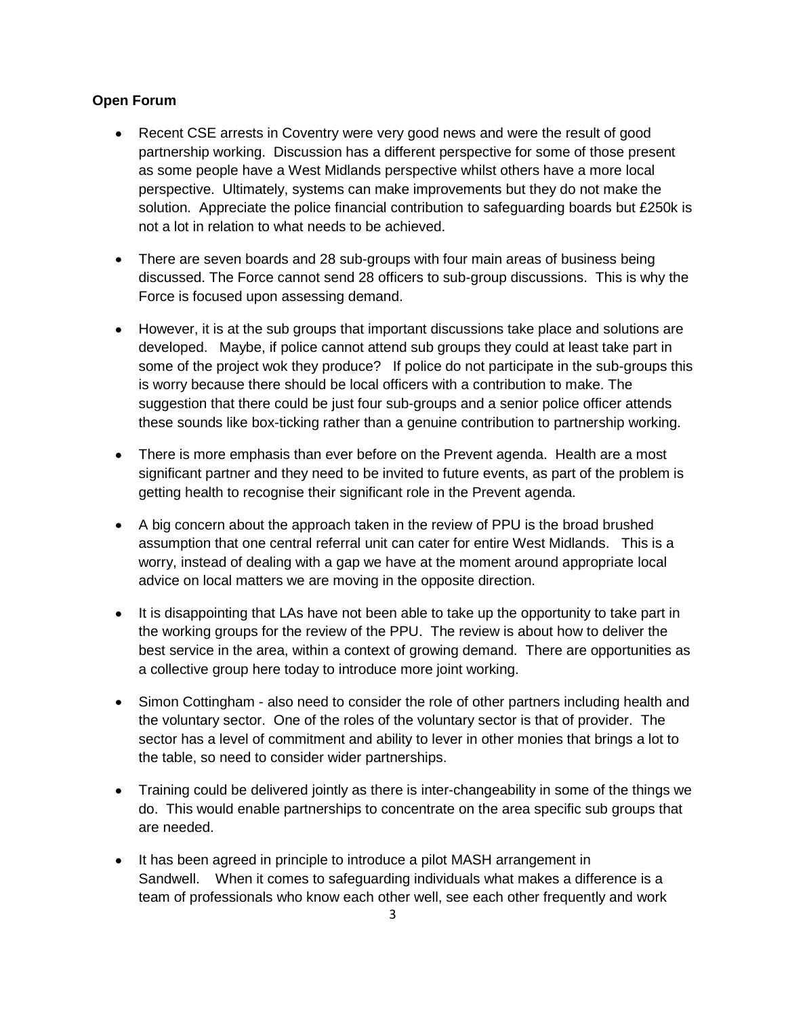### **Open Forum**

- Recent CSE arrests in Coventry were very good news and were the result of good partnership working. Discussion has a different perspective for some of those present as some people have a West Midlands perspective whilst others have a more local perspective. Ultimately, systems can make improvements but they do not make the solution. Appreciate the police financial contribution to safeguarding boards but £250k is not a lot in relation to what needs to be achieved.
- There are seven boards and 28 sub-groups with four main areas of business being discussed. The Force cannot send 28 officers to sub-group discussions. This is why the Force is focused upon assessing demand.
- However, it is at the sub groups that important discussions take place and solutions are developed. Maybe, if police cannot attend sub groups they could at least take part in some of the project wok they produce? If police do not participate in the sub-groups this is worry because there should be local officers with a contribution to make. The suggestion that there could be just four sub-groups and a senior police officer attends these sounds like box-ticking rather than a genuine contribution to partnership working.
- There is more emphasis than ever before on the Prevent agenda. Health are a most significant partner and they need to be invited to future events, as part of the problem is getting health to recognise their significant role in the Prevent agenda.
- A big concern about the approach taken in the review of PPU is the broad brushed assumption that one central referral unit can cater for entire West Midlands. This is a worry, instead of dealing with a gap we have at the moment around appropriate local advice on local matters we are moving in the opposite direction.
- It is disappointing that LAs have not been able to take up the opportunity to take part in the working groups for the review of the PPU. The review is about how to deliver the best service in the area, within a context of growing demand. There are opportunities as a collective group here today to introduce more joint working.
- Simon Cottingham also need to consider the role of other partners including health and the voluntary sector. One of the roles of the voluntary sector is that of provider. The sector has a level of commitment and ability to lever in other monies that brings a lot to the table, so need to consider wider partnerships.
- Training could be delivered jointly as there is inter-changeability in some of the things we do. This would enable partnerships to concentrate on the area specific sub groups that are needed.
- It has been agreed in principle to introduce a pilot MASH arrangement in Sandwell. When it comes to safeguarding individuals what makes a difference is a team of professionals who know each other well, see each other frequently and work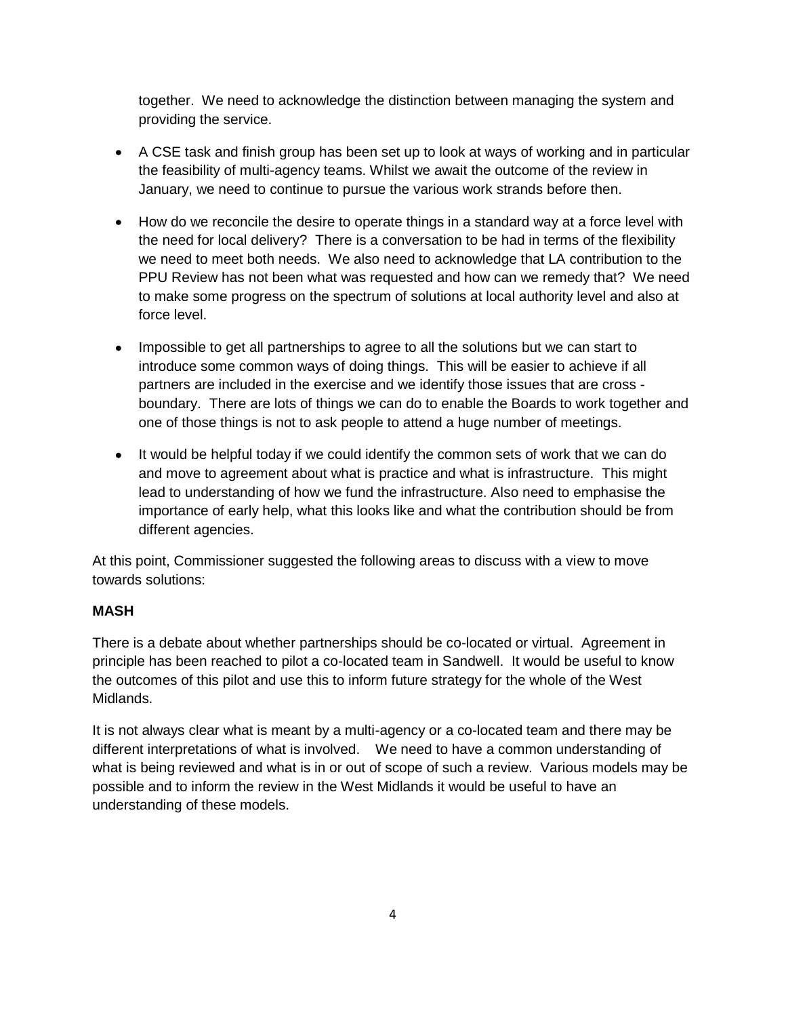together. We need to acknowledge the distinction between managing the system and providing the service.

- A CSE task and finish group has been set up to look at ways of working and in particular the feasibility of multi-agency teams. Whilst we await the outcome of the review in January, we need to continue to pursue the various work strands before then.
- How do we reconcile the desire to operate things in a standard way at a force level with the need for local delivery? There is a conversation to be had in terms of the flexibility we need to meet both needs. We also need to acknowledge that LA contribution to the PPU Review has not been what was requested and how can we remedy that? We need to make some progress on the spectrum of solutions at local authority level and also at force level.
- Impossible to get all partnerships to agree to all the solutions but we can start to introduce some common ways of doing things. This will be easier to achieve if all partners are included in the exercise and we identify those issues that are cross boundary. There are lots of things we can do to enable the Boards to work together and one of those things is not to ask people to attend a huge number of meetings.
- It would be helpful today if we could identify the common sets of work that we can do and move to agreement about what is practice and what is infrastructure. This might lead to understanding of how we fund the infrastructure. Also need to emphasise the importance of early help, what this looks like and what the contribution should be from different agencies.

At this point, Commissioner suggested the following areas to discuss with a view to move towards solutions:

# **MASH**

There is a debate about whether partnerships should be co-located or virtual. Agreement in principle has been reached to pilot a co-located team in Sandwell. It would be useful to know the outcomes of this pilot and use this to inform future strategy for the whole of the West Midlands.

It is not always clear what is meant by a multi-agency or a co-located team and there may be different interpretations of what is involved. We need to have a common understanding of what is being reviewed and what is in or out of scope of such a review. Various models may be possible and to inform the review in the West Midlands it would be useful to have an understanding of these models.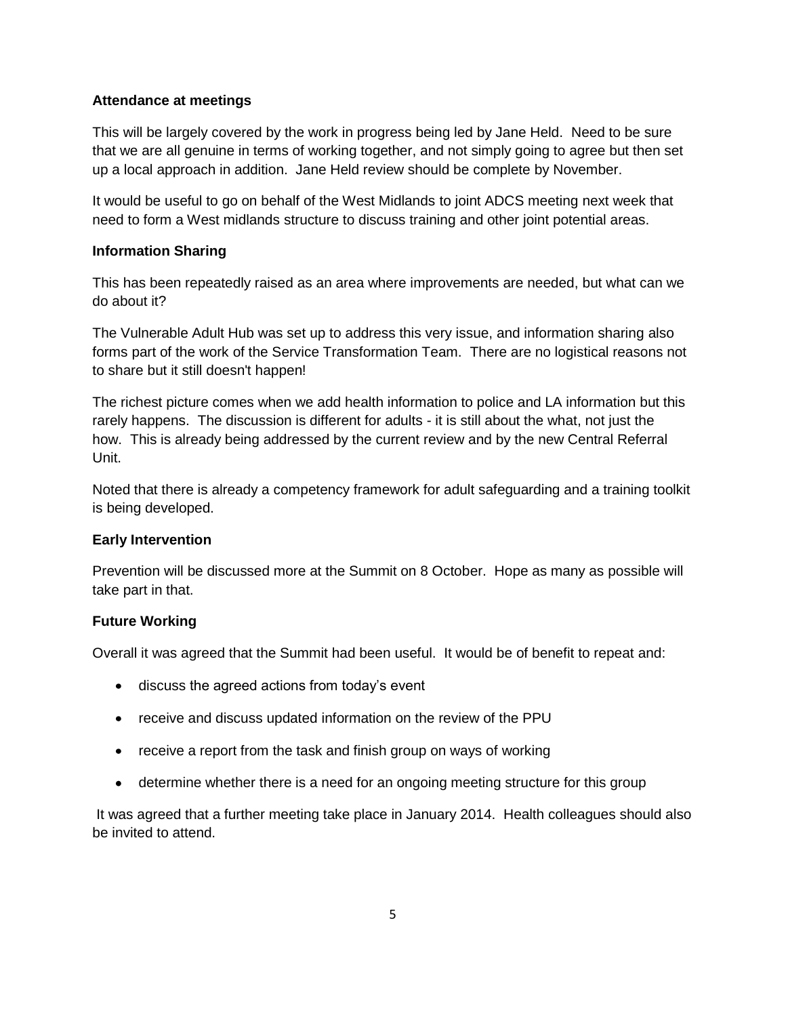### **Attendance at meetings**

This will be largely covered by the work in progress being led by Jane Held. Need to be sure that we are all genuine in terms of working together, and not simply going to agree but then set up a local approach in addition. Jane Held review should be complete by November.

It would be useful to go on behalf of the West Midlands to joint ADCS meeting next week that need to form a West midlands structure to discuss training and other joint potential areas.

### **Information Sharing**

This has been repeatedly raised as an area where improvements are needed, but what can we do about it?

The Vulnerable Adult Hub was set up to address this very issue, and information sharing also forms part of the work of the Service Transformation Team. There are no logistical reasons not to share but it still doesn't happen!

The richest picture comes when we add health information to police and LA information but this rarely happens. The discussion is different for adults - it is still about the what, not just the how. This is already being addressed by the current review and by the new Central Referral Unit.

Noted that there is already a competency framework for adult safeguarding and a training toolkit is being developed.

## **Early Intervention**

Prevention will be discussed more at the Summit on 8 October. Hope as many as possible will take part in that.

## **Future Working**

Overall it was agreed that the Summit had been useful. It would be of benefit to repeat and:

- discuss the agreed actions from today's event
- receive and discuss updated information on the review of the PPU
- receive a report from the task and finish group on ways of working
- determine whether there is a need for an ongoing meeting structure for this group

It was agreed that a further meeting take place in January 2014. Health colleagues should also be invited to attend.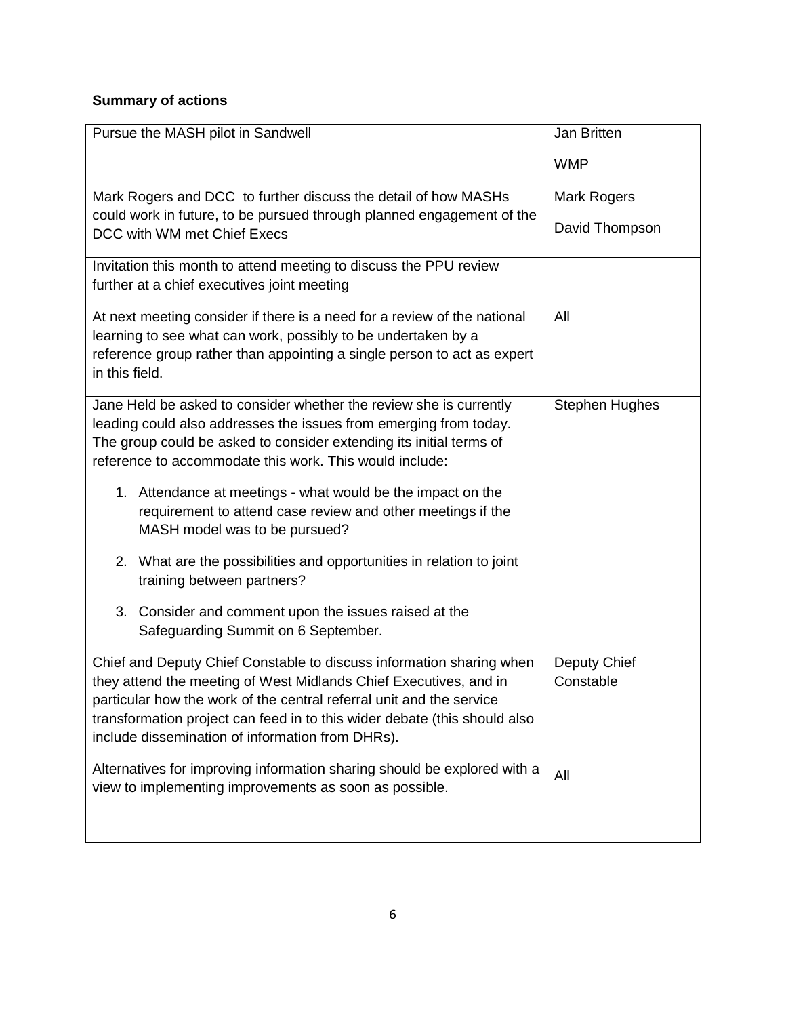# **Summary of actions**

| Pursue the MASH pilot in Sandwell                                                                    | Jan Britten           |
|------------------------------------------------------------------------------------------------------|-----------------------|
|                                                                                                      | <b>WMP</b>            |
| Mark Rogers and DCC to further discuss the detail of how MASHs                                       | <b>Mark Rogers</b>    |
| could work in future, to be pursued through planned engagement of the<br>DCC with WM met Chief Execs | David Thompson        |
| Invitation this month to attend meeting to discuss the PPU review                                    |                       |
| further at a chief executives joint meeting                                                          |                       |
| At next meeting consider if there is a need for a review of the national                             | All                   |
| learning to see what can work, possibly to be undertaken by a                                        |                       |
| reference group rather than appointing a single person to act as expert                              |                       |
| in this field.                                                                                       |                       |
| Jane Held be asked to consider whether the review she is currently                                   | <b>Stephen Hughes</b> |
| leading could also addresses the issues from emerging from today.                                    |                       |
| The group could be asked to consider extending its initial terms of                                  |                       |
| reference to accommodate this work. This would include:                                              |                       |
| 1. Attendance at meetings - what would be the impact on the                                          |                       |
| requirement to attend case review and other meetings if the                                          |                       |
| MASH model was to be pursued?                                                                        |                       |
| 2. What are the possibilities and opportunities in relation to joint                                 |                       |
| training between partners?                                                                           |                       |
|                                                                                                      |                       |
| 3. Consider and comment upon the issues raised at the                                                |                       |
| Safeguarding Summit on 6 September.                                                                  |                       |
| Chief and Deputy Chief Constable to discuss information sharing when                                 | Deputy Chief          |
| they attend the meeting of West Midlands Chief Executives, and in                                    | Constable             |
| particular how the work of the central referral unit and the service                                 |                       |
| transformation project can feed in to this wider debate (this should also                            |                       |
| include dissemination of information from DHRs).                                                     |                       |
| Alternatives for improving information sharing should be explored with a                             | All                   |
| view to implementing improvements as soon as possible.                                               |                       |
|                                                                                                      |                       |
|                                                                                                      |                       |